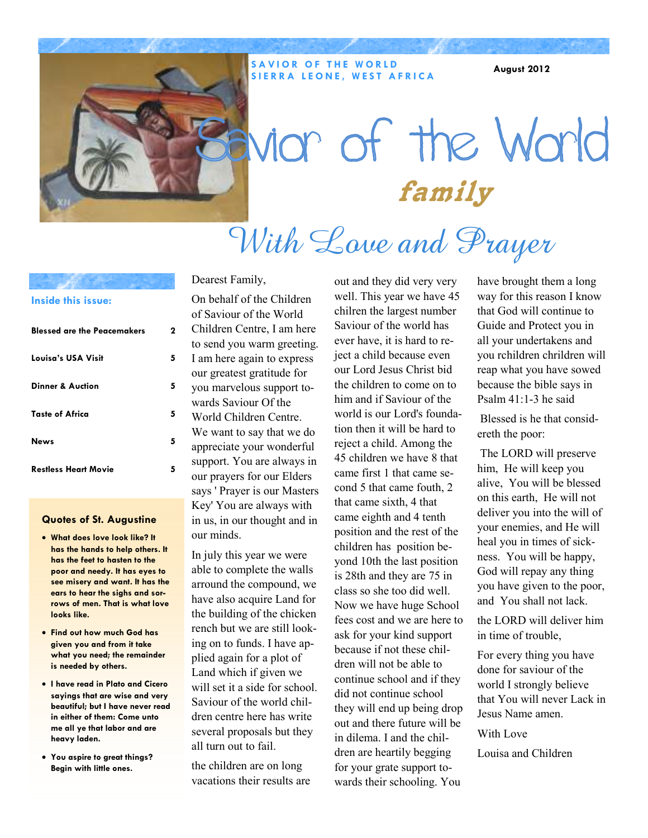

#### **SAVIOR OF THE WORLD SIERRA LEONE, WEST AFRICA**

**August 2012** 

# nor of the World family With Love and Prayer

#### **Inside this issue:**

| <b>Blessed are the Peacemakers</b> | 2 |
|------------------------------------|---|
| Louisa's USA Visit                 | 5 |
| Dinner & Auction                   | 5 |
| <b>Taste of Africa</b>             | 5 |
| <b>News</b>                        | 5 |
| <b>Restless Heart Movie</b>        | 5 |

#### **Quotes of St. Augustine**

- **What does love look like? It has the hands to help others. It has the feet to hasten to the poor and needy. It has eyes to see misery and want. It has the ears to hear the sighs and sorrows of men. That is what love looks like.**
- **Find out how much God has given you and from it take what you need; the remainder is needed by others.**
- **I have read in Plato and Cicero sayings that are wise and very beautiful; but I have never read in either of them: Come unto me all ye that labor and are heavy laden.**
- **You aspire to great things? Begin with little ones.**

#### Dearest Family,

On behalf of the Children of Saviour of the World Children Centre, I am here to send you warm greeting. I am here again to express our greatest gratitude for you marvelous support towards Saviour Of the World Children Centre. We want to say that we do appreciate your wonderful support. You are always in our prayers for our Elders says ' Prayer is our Masters Key' You are always with in us, in our thought and in our minds.

In july this year we were able to complete the walls arround the compound, we have also acquire Land for the building of the chicken rench but we are still looking on to funds. I have applied again for a plot of Land which if given we will set it a side for school. Saviour of the world children centre here has write several proposals but they all turn out to fail.

the children are on long vacations their results are

out and they did very very well. This year we have 45 chilren the largest number Saviour of the world has ever have, it is hard to reject a child because even our Lord Jesus Christ bid the children to come on to him and if Saviour of the world is our Lord's foundation then it will be hard to reject a child. Among the 45 children we have 8 that came first 1 that came second 5 that came fouth, 2 that came sixth, 4 that came eighth and 4 tenth position and the rest of the children has position beyond 10th the last position is 28th and they are 75 in class so she too did well. Now we have huge School fees cost and we are here to ask for your kind support because if not these children will not be able to continue school and if they did not continue school they will end up being drop out and there future will be in dilema. I and the children are heartily begging for your grate support towards their schooling. You

have brought them a long way for this reason I know that God will continue to Guide and Protect you in all your undertakens and you rchildren chrildren will reap what you have sowed because the bible says in Psalm 41:1-3 he said

 Blessed is he that considereth the poor:

 The LORD will preserve him, He will keep you alive, You will be blessed on this earth, He will not deliver you into the will of your enemies, and He will heal you in times of sickness. You will be happy, God will repay any thing you have given to the poor, and You shall not lack.

the LORD will deliver him in time of trouble,

For every thing you have done for saviour of the world I strongly believe that You will never Lack in Jesus Name amen.

With Love

Louisa and Children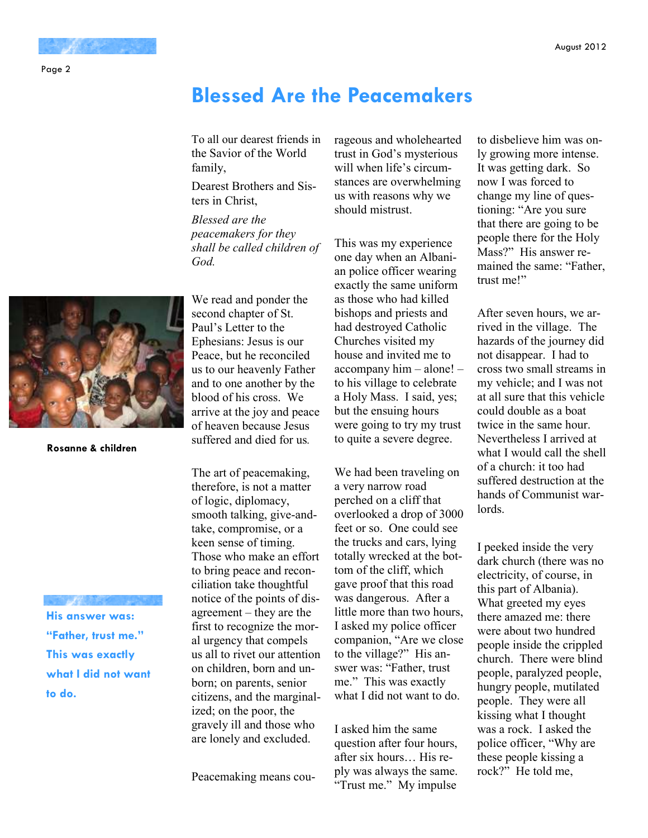#### Page 2

### **Blessed Are the Peacemakers**

To all our dearest friends in the Savior of the World family,

Dearest Brothers and Sisters in Christ,

*Blessed are the peacemakers for they shall be called children of God.* 

We read and ponder the second chapter of St. Paul's Letter to the Ephesians: Jesus is our Peace, but he reconciled us to our heavenly Father and to one another by the blood of his cross. We arrive at the joy and peace of heaven because Jesus suffered and died for us*.* 

The art of peacemaking, therefore, is not a matter of logic, diplomacy, smooth talking, give-andtake, compromise, or a keen sense of timing. Those who make an effort to bring peace and reconciliation take thoughtful notice of the points of disagreement – they are the first to recognize the moral urgency that compels us all to rivet our attention on children, born and unborn; on parents, senior citizens, and the marginalized; on the poor, the gravely ill and those who are lonely and excluded.

Peacemaking means cou-

rageous and wholehearted trust in God's mysterious will when life's circumstances are overwhelming us with reasons why we should mistrust.

This was my experience one day when an Albanian police officer wearing exactly the same uniform as those who had killed bishops and priests and had destroyed Catholic Churches visited my house and invited me to accompany him – alone! – to his village to celebrate a Holy Mass. I said, yes; but the ensuing hours were going to try my trust to quite a severe degree.

We had been traveling on a very narrow road perched on a cliff that overlooked a drop of 3000 feet or so. One could see the trucks and cars, lying totally wrecked at the bottom of the cliff, which gave proof that this road was dangerous. After a little more than two hours, I asked my police officer companion, "Are we close to the village?" His answer was: "Father, trust me." This was exactly what I did not want to do.

I asked him the same question after four hours, after six hours… His reply was always the same. "Trust me." My impulse

to disbelieve him was only growing more intense. It was getting dark. So now I was forced to change my line of questioning: "Are you sure that there are going to be people there for the Holy Mass?" His answer remained the same: "Father, trust me!"

After seven hours, we arrived in the village. The hazards of the journey did not disappear. I had to cross two small streams in my vehicle; and I was not at all sure that this vehicle could double as a boat twice in the same hour. Nevertheless I arrived at what I would call the shell of a church: it too had suffered destruction at the hands of Communist warlords.

I peeked inside the very dark church (there was no electricity, of course, in this part of Albania). What greeted my eyes there amazed me: there were about two hundred people inside the crippled church. There were blind people, paralyzed people, hungry people, mutilated people. They were all kissing what I thought was a rock. I asked the police officer, "Why are these people kissing a rock?" He told me,



**Rosanne & children** 

**His answer was: "Father, trust me." This was exactly what I did not want to do.**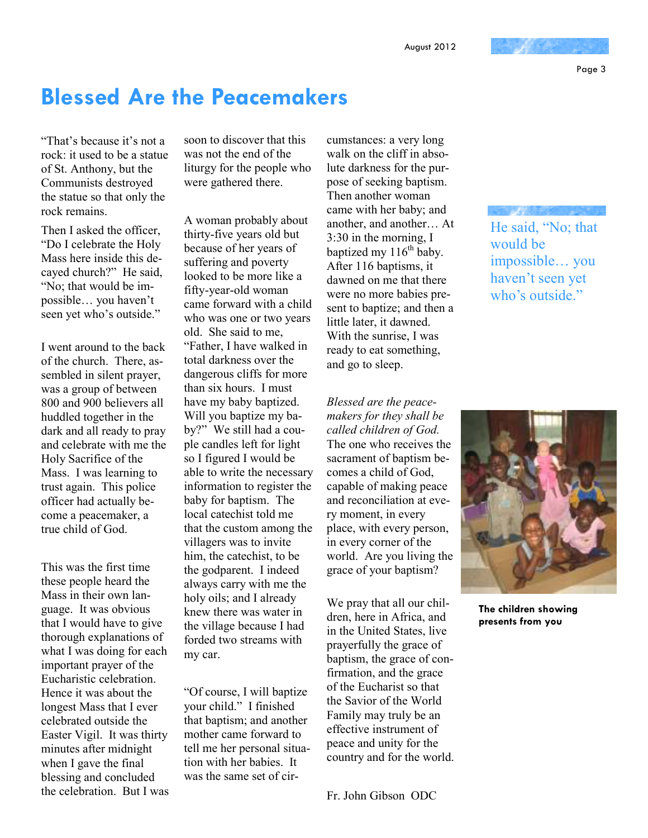Page 3

### **Blessed Are the Peacemakers**

"That's because it's not a rock: it used to be a statue of St. Anthony, but the Communists destroyed the statue so that only the rock remains.

Then I asked the officer, "Do I celebrate the Holy Mass here inside this decayed church?" He said, "No; that would be impossible… you haven't seen yet who's outside."

I went around to the back of the church. There, assembled in silent prayer, was a group of between 800 and 900 believers all huddled together in the dark and all ready to pray and celebrate with me the Holy Sacrifice of the Mass. I was learning to trust again. This police officer had actually become a peacemaker, a true child of God.

This was the first time these people heard the Mass in their own language. It was obvious that I would have to give thorough explanations of what I was doing for each important prayer of the Eucharistic celebration. Hence it was about the longest Mass that I ever celebrated outside the Easter Vigil. It was thirty minutes after midnight when I gave the final blessing and concluded the celebration. But I was soon to discover that this was not the end of the liturgy for the people who were gathered there.

A woman probably about thirty-five years old but because of her years of suffering and poverty looked to be more like a fifty-year-old woman came forward with a child who was one or two years old. She said to me, "Father, I have walked in total darkness over the dangerous cliffs for more than six hours. I must have my baby baptized. Will you baptize my baby?" We still had a couple candles left for light so I figured I would be able to write the necessary information to register the baby for baptism. The local catechist told me that the custom among the villagers was to invite him, the catechist, to be the godparent. I indeed always carry with me the holy oils; and I already knew there was water in the village because I had forded two streams with my car.

"Of course, I will baptize your child." I finished that baptism; and another mother came forward to tell me her personal situation with her babies. It was the same set of cir-

cumstances: a very long walk on the cliff in absolute darkness for the purpose of seeking baptism. Then another woman came with her baby; and another, and another… At 3:30 in the morning, I baptized my  $116<sup>th</sup>$  baby. After 116 baptisms, it dawned on me that there were no more babies present to baptize; and then a little later, it dawned. With the sunrise, I was ready to eat something, and go to sleep.

*Blessed are the peacemakers for they shall be called children of God.* The one who receives the sacrament of baptism becomes a child of God, capable of making peace and reconciliation at every moment, in every place, with every person, in every corner of the world. Are you living the grace of your baptism?

We pray that all our children, here in Africa, and in the United States, live prayerfully the grace of baptism, the grace of confirmation, and the grace of the Eucharist so that the Savior of the World Family may truly be an effective instrument of peace and unity for the country and for the world.

Fr. John Gibson ODC

He said, "No; that would be impossible… you haven't seen yet who's outside."



**The children showing presents from you**